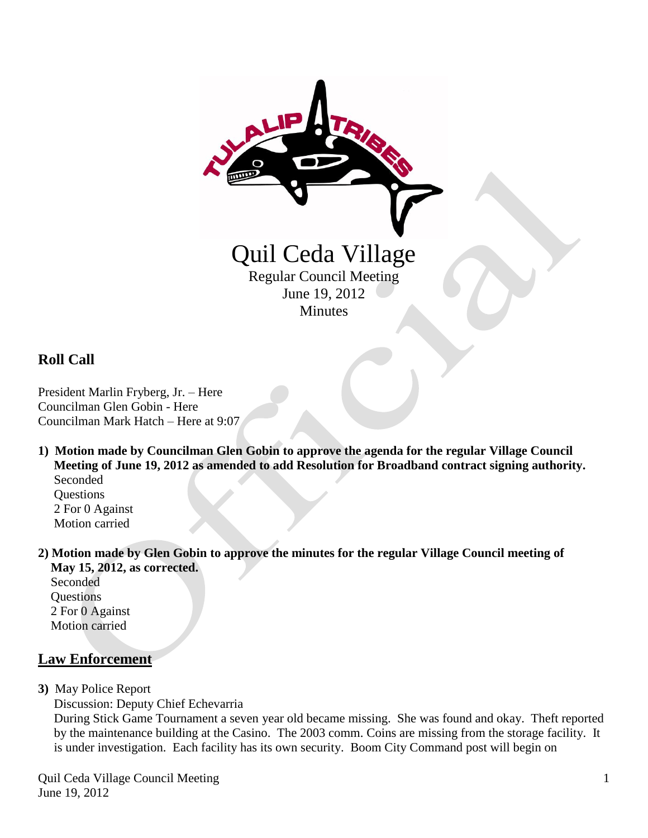

## **Roll Call**

President Marlin Fryberg, Jr. – Here Councilman Glen Gobin - Here Councilman Mark Hatch – Here at 9:07

**1) Motion made by Councilman Glen Gobin to approve the agenda for the regular Village Council Meeting of June 19, 2012 as amended to add Resolution for Broadband contract signing authority.** Seconded **Ouestions** 

 2 For 0 Against Motion carried

**2) Motion made by Glen Gobin to approve the minutes for the regular Village Council meeting of May 15, 2012, as corrected.**

Seconded **Questions**  2 For 0 Against Motion carried

### **Law Enforcement**

**3)** May Police Report

Discussion: Deputy Chief Echevarria

 During Stick Game Tournament a seven year old became missing. She was found and okay. Theft reported by the maintenance building at the Casino. The 2003 comm. Coins are missing from the storage facility. It is under investigation. Each facility has its own security. Boom City Command post will begin on

Quil Ceda Village Council Meeting June 19, 2012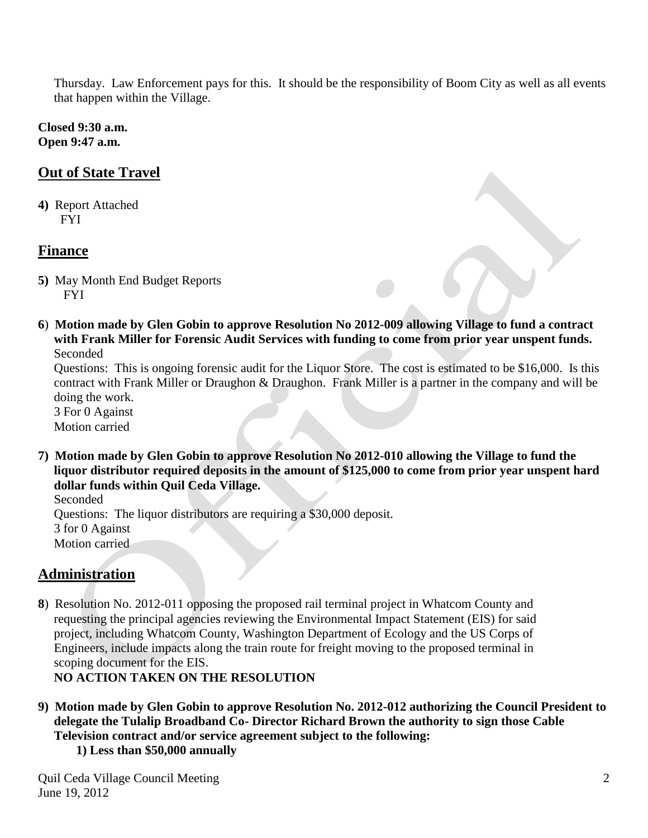Thursday. Law Enforcement pays for this. It should be the responsibility of Boom City as well as all events that happen within the Village.

**Closed 9:30 a.m. Open 9:47 a.m.** 

# **Out of State Travel**

**4)** Report Attached FYI

## **Finance**

- **5)** May Month End Budget Reports FYI
- **6**) **Motion made by Glen Gobin to approve Resolution No 2012-009 allowing Village to fund a contract with Frank Miller for Forensic Audit Services with funding to come from prior year unspent funds.** Seconded

 Questions: This is ongoing forensic audit for the Liquor Store. The cost is estimated to be \$16,000. Is this contract with Frank Miller or Draughon & Draughon. Frank Miller is a partner in the company and will be doing the work.

 3 For 0 Against Motion carried

**7) Motion made by Glen Gobin to approve Resolution No 2012-010 allowing the Village to fund the liquor distributor required deposits in the amount of \$125,000 to come from prior year unspent hard dollar funds within Quil Ceda Village.**

Seconded Questions: The liquor distributors are requiring a \$30,000 deposit. 3 for 0 Against Motion carried

## **Administration**

**8**) Resolution No. 2012-011 opposing the proposed rail terminal project in Whatcom County and requesting the principal agencies reviewing the Environmental Impact Statement (EIS) for said project, including Whatcom County, Washington Department of Ecology and the US Corps of Engineers, include impacts along the train route for freight moving to the proposed terminal in scoping document for the EIS.

**NO ACTION TAKEN ON THE RESOLUTION**

- **9) Motion made by Glen Gobin to approve Resolution No. 2012-012 authorizing the Council President to delegate the Tulalip Broadband Co- Director Richard Brown the authority to sign those Cable Television contract and/or service agreement subject to the following:**
	- **1) Less than \$50,000 annually**